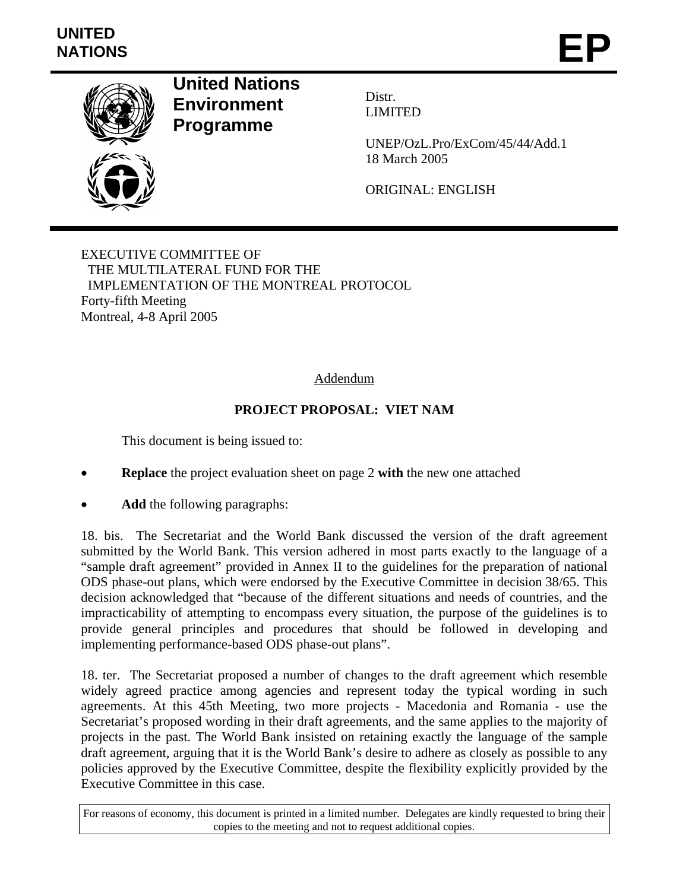# **UNITED**  UNITED<br>NATIONS **EP**



**United Nations Environment Programme** 

Distr. LIMITED

UNEP/OzL.Pro/ExCom/45/44/Add.1 18 March 2005

ORIGINAL: ENGLISH

EXECUTIVE COMMITTEE OF THE MULTILATERAL FUND FOR THE IMPLEMENTATION OF THE MONTREAL PROTOCOL Forty-fifth Meeting Montreal, 4-8 April 2005

# Addendum

# **PROJECT PROPOSAL: VIET NAM**

This document is being issued to:

- **Replace** the project evaluation sheet on page 2 **with** the new one attached
- Add the following paragraphs:

18. bis. The Secretariat and the World Bank discussed the version of the draft agreement submitted by the World Bank. This version adhered in most parts exactly to the language of a "sample draft agreement" provided in Annex II to the guidelines for the preparation of national ODS phase-out plans, which were endorsed by the Executive Committee in decision 38/65. This decision acknowledged that "because of the different situations and needs of countries, and the impracticability of attempting to encompass every situation, the purpose of the guidelines is to provide general principles and procedures that should be followed in developing and implementing performance-based ODS phase-out plans".

18. ter. The Secretariat proposed a number of changes to the draft agreement which resemble widely agreed practice among agencies and represent today the typical wording in such agreements. At this 45th Meeting, two more projects - Macedonia and Romania - use the Secretariat's proposed wording in their draft agreements, and the same applies to the majority of projects in the past. The World Bank insisted on retaining exactly the language of the sample draft agreement, arguing that it is the World Bank's desire to adhere as closely as possible to any policies approved by the Executive Committee, despite the flexibility explicitly provided by the Executive Committee in this case.

For reasons of economy, this document is printed in a limited number. Delegates are kindly requested to bring their copies to the meeting and not to request additional copies.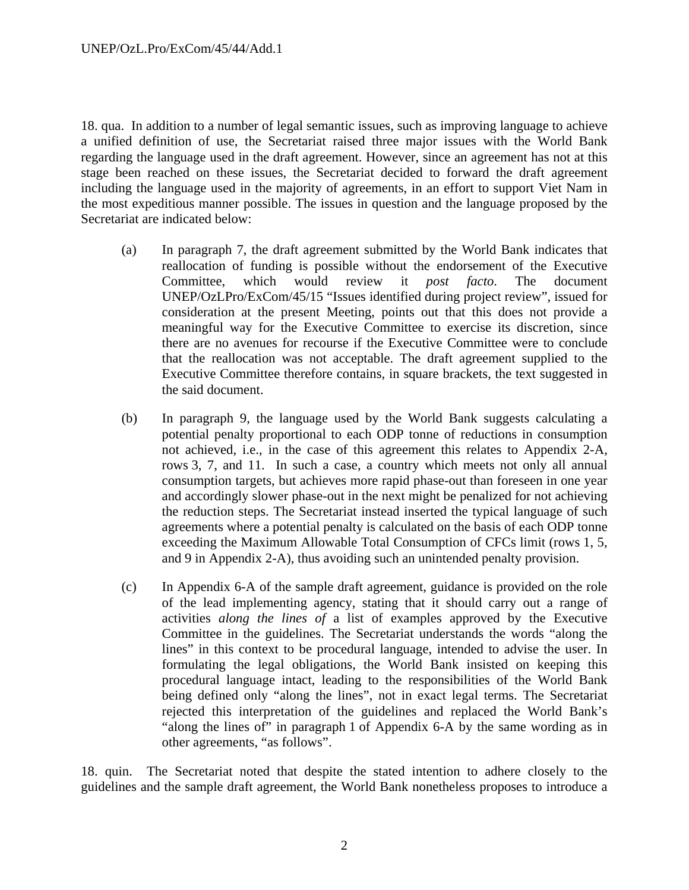18. qua. In addition to a number of legal semantic issues, such as improving language to achieve a unified definition of use, the Secretariat raised three major issues with the World Bank regarding the language used in the draft agreement. However, since an agreement has not at this stage been reached on these issues, the Secretariat decided to forward the draft agreement including the language used in the majority of agreements, in an effort to support Viet Nam in the most expeditious manner possible. The issues in question and the language proposed by the Secretariat are indicated below:

- (a) In paragraph 7, the draft agreement submitted by the World Bank indicates that reallocation of funding is possible without the endorsement of the Executive Committee, which would review it *post facto*. The document UNEP/OzLPro/ExCom/45/15 "Issues identified during project review", issued for consideration at the present Meeting, points out that this does not provide a meaningful way for the Executive Committee to exercise its discretion, since there are no avenues for recourse if the Executive Committee were to conclude that the reallocation was not acceptable. The draft agreement supplied to the Executive Committee therefore contains, in square brackets, the text suggested in the said document.
- (b) In paragraph 9, the language used by the World Bank suggests calculating a potential penalty proportional to each ODP tonne of reductions in consumption not achieved, i.e., in the case of this agreement this relates to Appendix 2-A, rows 3, 7, and 11. In such a case, a country which meets not only all annual consumption targets, but achieves more rapid phase-out than foreseen in one year and accordingly slower phase-out in the next might be penalized for not achieving the reduction steps. The Secretariat instead inserted the typical language of such agreements where a potential penalty is calculated on the basis of each ODP tonne exceeding the Maximum Allowable Total Consumption of CFCs limit (rows 1, 5, and 9 in Appendix 2-A), thus avoiding such an unintended penalty provision.
- (c) In Appendix 6-A of the sample draft agreement, guidance is provided on the role of the lead implementing agency, stating that it should carry out a range of activities *along the lines of* a list of examples approved by the Executive Committee in the guidelines. The Secretariat understands the words "along the lines" in this context to be procedural language, intended to advise the user. In formulating the legal obligations, the World Bank insisted on keeping this procedural language intact, leading to the responsibilities of the World Bank being defined only "along the lines", not in exact legal terms. The Secretariat rejected this interpretation of the guidelines and replaced the World Bank's "along the lines of" in paragraph 1 of Appendix 6-A by the same wording as in other agreements, "as follows".

18. quin. The Secretariat noted that despite the stated intention to adhere closely to the guidelines and the sample draft agreement, the World Bank nonetheless proposes to introduce a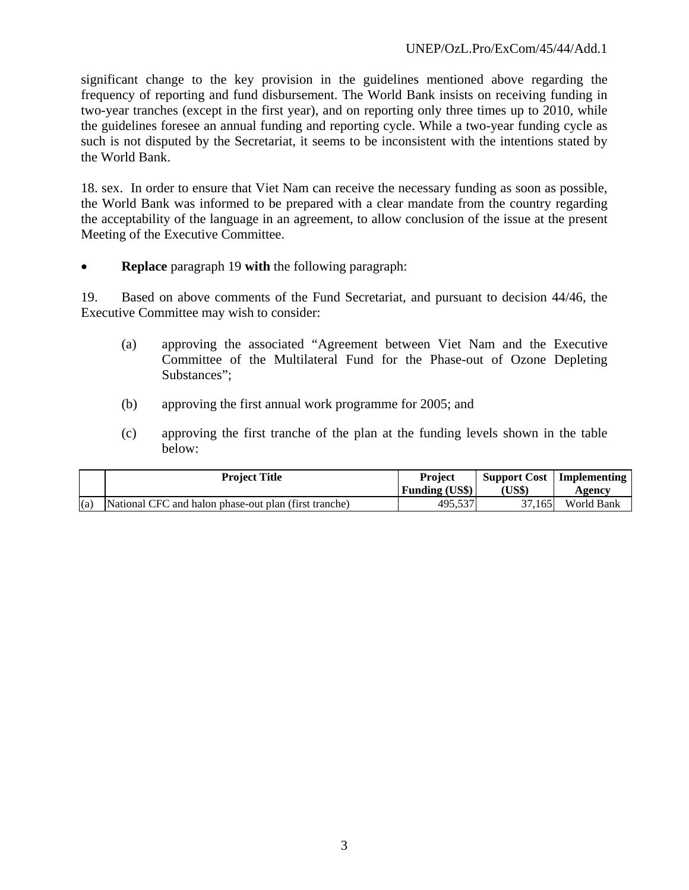significant change to the key provision in the guidelines mentioned above regarding the frequency of reporting and fund disbursement. The World Bank insists on receiving funding in two-year tranches (except in the first year), and on reporting only three times up to 2010, while the guidelines foresee an annual funding and reporting cycle. While a two-year funding cycle as such is not disputed by the Secretariat, it seems to be inconsistent with the intentions stated by the World Bank.

18. sex. In order to ensure that Viet Nam can receive the necessary funding as soon as possible, the World Bank was informed to be prepared with a clear mandate from the country regarding the acceptability of the language in an agreement, to allow conclusion of the issue at the present Meeting of the Executive Committee.

• **Replace** paragraph 19 **with** the following paragraph:

19. Based on above comments of the Fund Secretariat, and pursuant to decision 44/46, the Executive Committee may wish to consider:

- (a) approving the associated "Agreement between Viet Nam and the Executive Committee of the Multilateral Fund for the Phase-out of Ozone Depleting Substances";
- (b) approving the first annual work programme for 2005; and
- (c) approving the first tranche of the plan at the funding levels shown in the table below:

|     | <b>Project Title</b>                                  | <b>Project</b><br><b>Funding (US\$)</b> | (US\$) | <b>Support Cost</b>   Implementing<br>Agency |
|-----|-------------------------------------------------------|-----------------------------------------|--------|----------------------------------------------|
| (a) | National CFC and halon phase-out plan (first tranche) | 495.537                                 | 37.165 | World Bank                                   |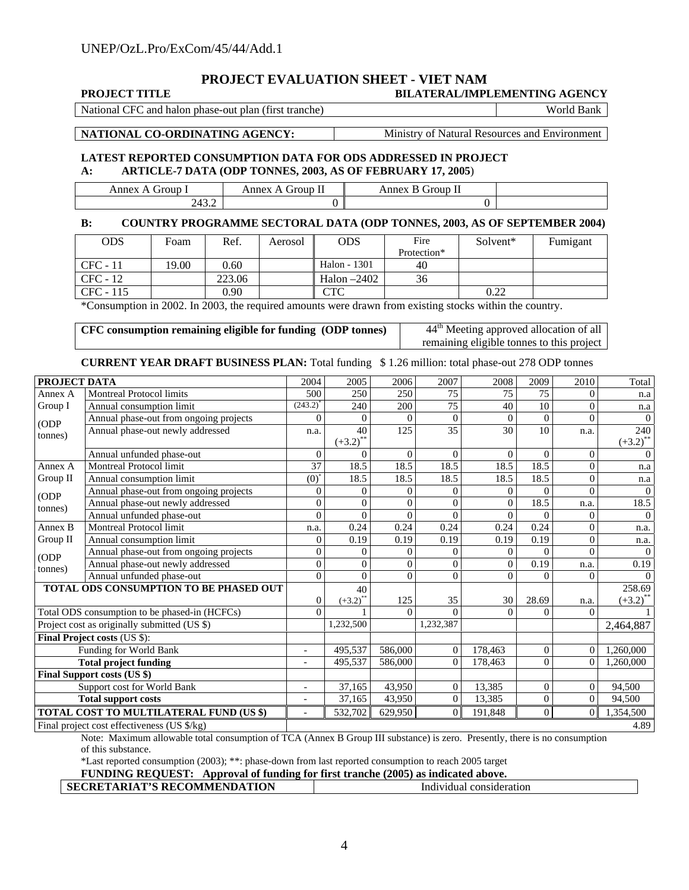# **PROJECT EVALUATION SHEET - VIET NAM**

| <b>PROJECT TITLE</b> | <b>BILATERAL/IMPLEMENTING AGENCY</b> |
|----------------------|--------------------------------------|
|                      |                                      |

National CFC and halon phase-out plan (first tranche) World Bank

**NATIONAL CO-ORDINATING AGENCY:** Ministry of Natural Resources and Environment

#### **LATEST REPORTED CONSUMPTION DATA FOR ODS ADDRESSED IN PROJECT A: ARTICLE-7 DATA (ODP TONNES, 2003, AS OF FEBRUARY 17, 2005**)

| iroun<br>------<br>$\sim$ $\sim$ $\sim$ $\sim$ $\sim$ | --<br>$\sim$ $\sim$ $\sim$ $\sim$<br><b>roup</b><br>пе<br>.<br>$ -$ | -<br>$-$<br>эĦ<br>$\mathbf{H}$<br>$\sim$ $\sim$ $\sim$ $\sim$ $\sim$ |  |
|-------------------------------------------------------|---------------------------------------------------------------------|----------------------------------------------------------------------|--|
| $\overline{\phantom{a}}$<br>ے ں —<br>,                |                                                                     |                                                                      |  |

#### **B: COUNTRY PROGRAMME SECTORAL DATA (ODP TONNES, 2003, AS OF SEPTEMBER 2004)**

| <b>ODS</b> | Foam  | Ref.   | Aerosol | <b>ODS</b>    | Fire        | Solvent* | Fumigant |
|------------|-------|--------|---------|---------------|-------------|----------|----------|
|            |       |        |         |               | Protection* |          |          |
| $CFC - 11$ | 19.00 | 0.60   |         | Halon - 1301  | 40          |          |          |
| CFC - 12   |       | 223.06 |         | Halon $-2402$ | 36          |          |          |
| CFC - 115  |       | 0.90   |         | CTC           |             | 0.22     |          |

\*Consumption in 2002. In 2003, the required amounts were drawn from existing stocks within the country.

| CFC consumption remaining eligible for funding (ODP tonnes) | 44 <sup>th</sup> Meeting approved allocation of all |
|-------------------------------------------------------------|-----------------------------------------------------|
|                                                             | remaining eligible tonnes to this project           |
|                                                             |                                                     |

#### **CURRENT YEAR DRAFT BUSINESS PLAN:** Total funding \$ 1.26 million: total phase-out 278 ODP tonnes

| PROJECT DATA                 |                                                           | 2004                     | 2005                  | 2006           | 2007           | 2008           | 2009           | 2010           | Total               |
|------------------------------|-----------------------------------------------------------|--------------------------|-----------------------|----------------|----------------|----------------|----------------|----------------|---------------------|
| Annex A                      | <b>Montreal Protocol limits</b>                           | 500                      | 250                   | 250            | 75             | 75             | 75             | 0              | n.a                 |
| Group I                      | Annual consumption limit                                  | $(243.2)^{4}$            | 240                   | 200            | 75             | 40             | 10             | $\theta$       | n.a                 |
| (ODP                         | Annual phase-out from ongoing projects                    | $\theta$                 | $\Omega$              | $\mathbf{0}$   | $\overline{0}$ | $\theta$       | $\theta$       | $\theta$       | $\Omega$            |
| tonnes)                      | Annual phase-out newly addressed                          | n.a.                     | 40                    | 125            | 35             | 30             | 10             | n.a.           | 240                 |
|                              |                                                           |                          | $(+3.2)^{*}$          |                |                |                |                |                | $(+3.2)^{*}$        |
|                              | Annual unfunded phase-out                                 | $\theta$                 | $\Omega$              | $\theta$       | $\Omega$       | $\Omega$       | $\Omega$       | $\overline{0}$ | $\Omega$            |
| Annex A                      | Montreal Protocol limit                                   | 37                       | 18.5                  | 18.5           | 18.5           | 18.5           | 18.5           | $\theta$       | n.a                 |
| Group II                     | Annual consumption limit                                  | $(0)^{*}$                | 18.5                  | 18.5           | 18.5           | 18.5           | 18.5           | $\overline{0}$ | n.a                 |
| (ODP                         | Annual phase-out from ongoing projects                    | $\boldsymbol{0}$         | $\Omega$              | $\overline{0}$ | $\Omega$       | $\overline{0}$ | 0              | $\theta$       | $\Omega$            |
| tonnes)                      | Annual phase-out newly addressed                          | $\mathbf{0}$             | $\Omega$              | $\Omega$       | $\theta$       | $\Omega$       | 18.5           | n.a.           | 18.5                |
|                              | Annual unfunded phase-out                                 | $\overline{0}$           | $\Omega$              | $\Omega$       | $\theta$       | $\Omega$       | $\Omega$       | $\Omega$       | $\Omega$            |
| Annex B                      | <b>Montreal Protocol limit</b>                            | n.a.                     | 0.24                  | 0.24           | 0.24           | 0.24           | 0.24           | $\overline{0}$ | n.a.                |
| Group II                     | Annual consumption limit                                  | $\overline{0}$           | 0.19                  | 0.19           | 0.19           | 0.19           | 0.19           | $\overline{0}$ | n.a.                |
| (ODP                         | Annual phase-out from ongoing projects                    | $\mathbf{0}$             | $\Omega$              | $\Omega$       | $\Omega$       | $\overline{0}$ | $\Omega$       | $\theta$       | $\Omega$            |
| tonnes)                      | Annual phase-out newly addressed                          | $\boldsymbol{0}$         | $\Omega$              | $\mathbf{0}$   | $\overline{0}$ | $\overline{0}$ | 0.19           | n.a.           | 0.19                |
|                              | Annual unfunded phase-out                                 | $\mathbf{0}$             | $\Omega$              | $\Omega$       | $\theta$       | $\Omega$       | $\theta$       | $\Omega$       |                     |
|                              | TOTAL ODS CONSUMPTION TO BE PHASED OUT                    |                          | 40                    |                |                |                |                |                | 258.69              |
|                              |                                                           | $\boldsymbol{0}$         | $(+3.2)$ <sup>*</sup> | 125            | 35             | 30             | 28.69          | n.a.           | $(+3.2)^{^{\circ}}$ |
|                              | Total ODS consumption to be phased-in (HCFCs)             | $\Omega$                 |                       | $\Omega$       | $\theta$       | $\Omega$       | $\Omega$       | $\theta$       |                     |
|                              | Project cost as originally submitted (US \$)              |                          | 1,232,500             |                | 1,232,387      |                |                |                | 2,464,887           |
|                              | Final Project costs (US \$):                              |                          |                       |                |                |                |                |                |                     |
| Funding for World Bank       |                                                           | $\overline{\phantom{a}}$ | 495,537               | 586,000        | $\mathbf{0}$   | 178,463        | $\mathbf{0}$   | $\overline{0}$ | 1,260,000           |
| <b>Total project funding</b> |                                                           | $\overline{\phantom{0}}$ | 495,537               | 586,000        | $\mathbf{0}$   | 178,463        | $\mathbf{0}$   | $\Omega$       | 1,260,000           |
| Final Support costs (US \$)  |                                                           |                          |                       |                |                |                |                |                |                     |
| Support cost for World Bank  |                                                           | $\overline{\phantom{a}}$ | 37,165                | 43,950         | $\overline{0}$ | 13,385         | $\theta$       | $\theta$       | 94,500              |
| <b>Total support costs</b>   |                                                           | $\overline{\phantom{a}}$ | 37,165                | 43,950         | $\overline{0}$ | 13,385         | $\overline{0}$ | $\overline{0}$ | 94,500              |
|                              | TOTAL COST TO MULTILATERAL FUND (US \$)                   | $\overline{\phantom{a}}$ | 532,702               | 629,950        | $\overline{0}$ | 191,848        | $\overline{0}$ | $\Omega$       | 1,354,500           |
|                              | Final project cost effectiveness (US $\frac{\pi}{8}$ /kg) |                          |                       |                |                |                |                |                | 4.89                |

Note: Maximum allowable total consumption of TCA (Annex B Group III substance) is zero. Presently, there is no consumption of this substance.

\*Last reported consumption (2003); \*\*: phase-down from last reported consumption to reach 2005 target

|  | FUNDING REQUEST: Approval of funding for first tranche (2005) as indicated above. |
|--|-----------------------------------------------------------------------------------|
|  |                                                                                   |

| ATION<br><b>' RECOMMENDA'</b><br>DIA TIC<br><b>SECT</b> | ration<br>Inc<br>consider<br>унциа |
|---------------------------------------------------------|------------------------------------|
|                                                         |                                    |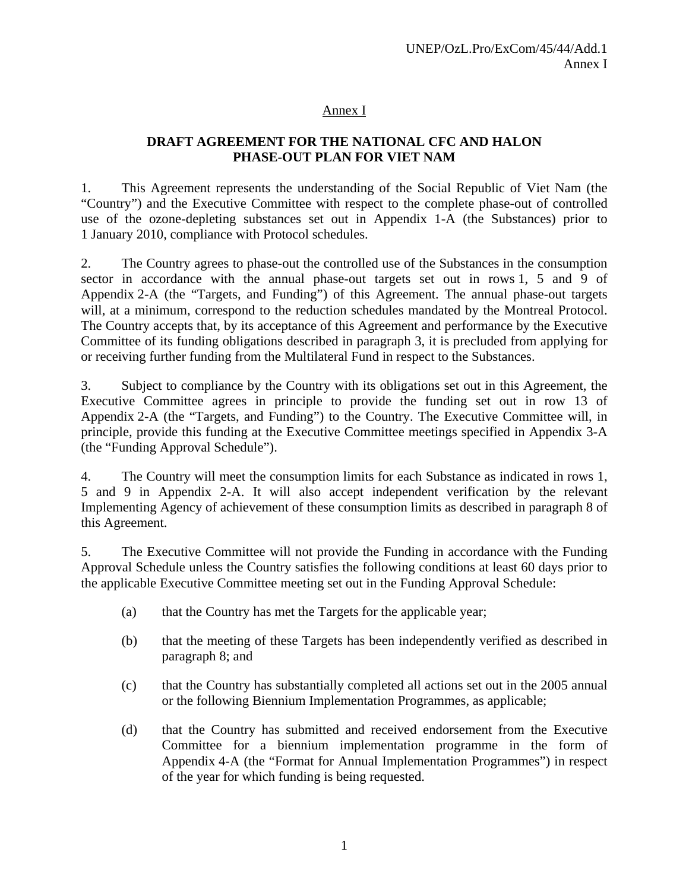## Annex I

# **DRAFT AGREEMENT FOR THE NATIONAL CFC AND HALON PHASE-OUT PLAN FOR VIET NAM**

1. This Agreement represents the understanding of the Social Republic of Viet Nam (the "Country") and the Executive Committee with respect to the complete phase-out of controlled use of the ozone-depleting substances set out in Appendix 1-A (the Substances) prior to 1 January 2010, compliance with Protocol schedules.

2. The Country agrees to phase-out the controlled use of the Substances in the consumption sector in accordance with the annual phase-out targets set out in rows 1, 5 and 9 of Appendix 2-A (the "Targets, and Funding") of this Agreement. The annual phase-out targets will, at a minimum, correspond to the reduction schedules mandated by the Montreal Protocol. The Country accepts that, by its acceptance of this Agreement and performance by the Executive Committee of its funding obligations described in paragraph 3, it is precluded from applying for or receiving further funding from the Multilateral Fund in respect to the Substances.

3. Subject to compliance by the Country with its obligations set out in this Agreement, the Executive Committee agrees in principle to provide the funding set out in row 13 of Appendix 2-A (the "Targets, and Funding") to the Country. The Executive Committee will, in principle, provide this funding at the Executive Committee meetings specified in Appendix 3-A (the "Funding Approval Schedule").

4. The Country will meet the consumption limits for each Substance as indicated in rows 1, 5 and 9 in Appendix 2-A. It will also accept independent verification by the relevant Implementing Agency of achievement of these consumption limits as described in paragraph 8 of this Agreement.

5. The Executive Committee will not provide the Funding in accordance with the Funding Approval Schedule unless the Country satisfies the following conditions at least 60 days prior to the applicable Executive Committee meeting set out in the Funding Approval Schedule:

- (a) that the Country has met the Targets for the applicable year;
- (b) that the meeting of these Targets has been independently verified as described in paragraph 8; and
- (c) that the Country has substantially completed all actions set out in the 2005 annual or the following Biennium Implementation Programmes, as applicable;
- (d) that the Country has submitted and received endorsement from the Executive Committee for a biennium implementation programme in the form of Appendix 4-A (the "Format for Annual Implementation Programmes") in respect of the year for which funding is being requested.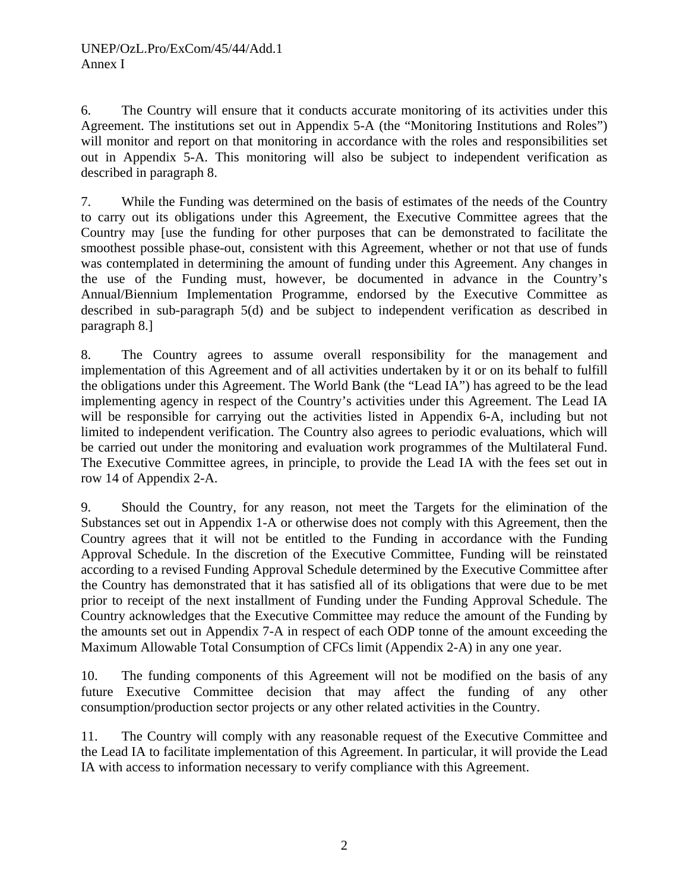6. The Country will ensure that it conducts accurate monitoring of its activities under this Agreement. The institutions set out in Appendix 5-A (the "Monitoring Institutions and Roles") will monitor and report on that monitoring in accordance with the roles and responsibilities set out in Appendix 5-A. This monitoring will also be subject to independent verification as described in paragraph 8.

7. While the Funding was determined on the basis of estimates of the needs of the Country to carry out its obligations under this Agreement, the Executive Committee agrees that the Country may [use the funding for other purposes that can be demonstrated to facilitate the smoothest possible phase-out, consistent with this Agreement, whether or not that use of funds was contemplated in determining the amount of funding under this Agreement. Any changes in the use of the Funding must, however, be documented in advance in the Country's Annual/Biennium Implementation Programme, endorsed by the Executive Committee as described in sub-paragraph 5(d) and be subject to independent verification as described in paragraph 8.]

8. The Country agrees to assume overall responsibility for the management and implementation of this Agreement and of all activities undertaken by it or on its behalf to fulfill the obligations under this Agreement. The World Bank (the "Lead IA") has agreed to be the lead implementing agency in respect of the Country's activities under this Agreement. The Lead IA will be responsible for carrying out the activities listed in Appendix 6-A, including but not limited to independent verification. The Country also agrees to periodic evaluations, which will be carried out under the monitoring and evaluation work programmes of the Multilateral Fund. The Executive Committee agrees, in principle, to provide the Lead IA with the fees set out in row 14 of Appendix 2-A.

9. Should the Country, for any reason, not meet the Targets for the elimination of the Substances set out in Appendix 1-A or otherwise does not comply with this Agreement, then the Country agrees that it will not be entitled to the Funding in accordance with the Funding Approval Schedule. In the discretion of the Executive Committee, Funding will be reinstated according to a revised Funding Approval Schedule determined by the Executive Committee after the Country has demonstrated that it has satisfied all of its obligations that were due to be met prior to receipt of the next installment of Funding under the Funding Approval Schedule. The Country acknowledges that the Executive Committee may reduce the amount of the Funding by the amounts set out in Appendix 7-A in respect of each ODP tonne of the amount exceeding the Maximum Allowable Total Consumption of CFCs limit (Appendix 2-A) in any one year.

10. The funding components of this Agreement will not be modified on the basis of any future Executive Committee decision that may affect the funding of any other consumption/production sector projects or any other related activities in the Country.

11. The Country will comply with any reasonable request of the Executive Committee and the Lead IA to facilitate implementation of this Agreement. In particular, it will provide the Lead IA with access to information necessary to verify compliance with this Agreement.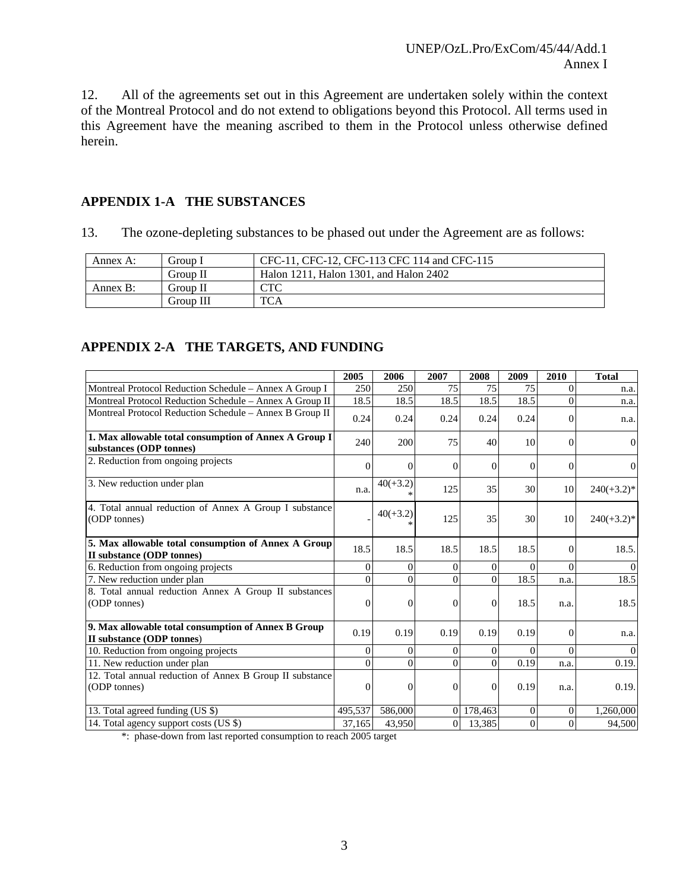12. All of the agreements set out in this Agreement are undertaken solely within the context of the Montreal Protocol and do not extend to obligations beyond this Protocol. All terms used in this Agreement have the meaning ascribed to them in the Protocol unless otherwise defined herein.

## **APPENDIX 1-A THE SUBSTANCES**

13. The ozone-depleting substances to be phased out under the Agreement are as follows:

| Annex A: | Group I   | CFC-11, CFC-12, CFC-113 CFC 114 and CFC-115 |
|----------|-----------|---------------------------------------------|
|          | Group II  | Halon 1211, Halon 1301, and Halon 2402      |
| Annex B: | Group II  | CTC                                         |
|          | Group III | <b>TCA</b>                                  |

## **APPENDIX 2-A THE TARGETS, AND FUNDING**

|                                                                                  | 2005             | 2006           | 2007           | 2008           | 2009         | 2010           | <b>Total</b>   |
|----------------------------------------------------------------------------------|------------------|----------------|----------------|----------------|--------------|----------------|----------------|
| Montreal Protocol Reduction Schedule - Annex A Group I                           | 250              | 250            | 75             | 75             | 75           | $\Omega$       | n.a.           |
| Montreal Protocol Reduction Schedule - Annex A Group II                          | 18.5             | 18.5           | 18.5           | 18.5           | 18.5         | $\Omega$       | n.a.           |
| Montreal Protocol Reduction Schedule - Annex B Group II                          | 0.24             | 0.24           | 0.24           | 0.24           | 0.24         | $\Omega$       | n.a.           |
| 1. Max allowable total consumption of Annex A Group I<br>substances (ODP tonnes) | 240              | 200            | 75             | 40             | 10           | $\theta$       | $\Omega$       |
| 2. Reduction from ongoing projects                                               | $\Omega$         | $\Omega$       | $\overline{0}$ | $\Omega$       | $\Omega$     | $\Omega$       | $\overline{0}$ |
| 3. New reduction under plan                                                      | n.a.             | $40(+3.2)$     | 125            | 35             | 30           | 10             | $240(+3.2)*$   |
| 4. Total annual reduction of Annex A Group I substance<br>(ODP tonnes)           |                  | $40(+3.2)$     | 125            | 35             | 30           | 10             | $240(+3.2)*$   |
| 5. Max allowable total consumption of Annex A Group<br>II substance (ODP tonnes) | 18.5             | 18.5           | 18.5           | 18.5           | 18.5         | $\Omega$       | 18.5.          |
| 6. Reduction from ongoing projects                                               | $\mathbf{0}$     | $\overline{0}$ | $\overline{0}$ | $\overline{0}$ | $\mathbf{0}$ | $\Omega$       | $\theta$       |
| 7. New reduction under plan                                                      | $\Omega$         | $\theta$       | $\theta$       | $\Omega$       | 18.5         | n.a.           | 18.5           |
| 8. Total annual reduction Annex A Group II substances<br>(ODP tonnes)            | $\mathbf{0}$     | $\overline{0}$ | $\mathbf{0}$   | $\Omega$       | 18.5         | n.a.           | 18.5           |
| 9. Max allowable total consumption of Annex B Group<br>II substance (ODP tonnes) | 0.19             | 0.19           | 0.19           | 0.19           | 0.19         | $\Omega$       | n.a.           |
| 10. Reduction from ongoing projects                                              | $\boldsymbol{0}$ | $\Omega$       | $\theta$       | $\overline{0}$ | $\Omega$     | $\Omega$       | $\theta$       |
| $11.$ New reduction under plan                                                   | $\Omega$         | $\Omega$       | $\theta$       | $\Omega$       | 0.19         | n.a.           | 0.19.          |
| 12. Total annual reduction of Annex B Group II substance<br>(ODP tonnes)         | $\mathbf{0}$     | $\mathbf{0}$   | $\overline{0}$ | $\Omega$       | 0.19         | n.a.           | 0.19.          |
| 13. Total agreed funding (US \$)                                                 | 495,537          | 586,000        |                | 0 178,463      | $\mathbf{0}$ | $\overline{0}$ | 1,260,000      |
| 14. Total agency support costs (US \$)                                           | 37,165           | 43,950         | 0              | 13,385         | $\theta$     | $\Omega$       | 94,500         |

\*: phase-down from last reported consumption to reach 2005 target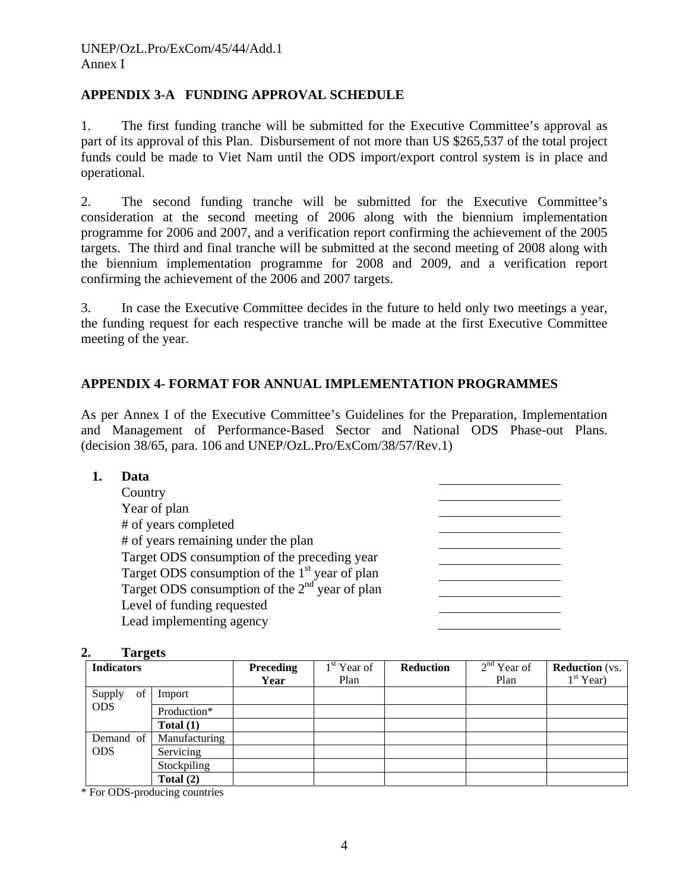## **APPENDIX 3-A FUNDING APPROVAL SCHEDULE**

1. The first funding tranche will be submitted for the Executive Committee's approval as part of its approval of this Plan. Disbursement of not more than US \$265,537 of the total project funds could be made to Viet Nam until the ODS import/export control system is in place and operational.

2. The second funding tranche will be submitted for the Executive Committee's consideration at the second meeting of 2006 along with the biennium implementation programme for 2006 and 2007, and a verification report confirming the achievement of the 2005 targets. The third and final tranche will be submitted at the second meeting of 2008 along with the biennium implementation programme for 2008 and 2009, and a verification report confirming the achievement of the 2006 and 2007 targets.

3. In case the Executive Committee decides in the future to held only two meetings a year, the funding request for each respective tranche will be made at the first Executive Committee meeting of the year.

## **APPENDIX 4- FORMAT FOR ANNUAL IMPLEMENTATION PROGRAMMES**

As per Annex I of the Executive Committee's Guidelines for the Preparation, Implementation and Management of Performance-Based Sector and National ODS Phase-out Plans. (decision 38/65, para. 106 and UNEP/OzL.Pro/ExCom/38/57/Rev.1)

| Data                                             |
|--------------------------------------------------|
| Country                                          |
| Year of plan                                     |
| # of years completed                             |
| # of years remaining under the plan              |
| Target ODS consumption of the preceding year     |
| Target ODS consumption of the $1st$ year of plan |
| Target ODS consumption of the $2nd$ year of plan |
| Level of funding requested                       |
| Lead implementing agency                         |

#### **2. Targets**

| <b>Indicators</b> |               | <b>Preceding</b> | $1st$ Year of<br>Plan | <b>Reduction</b> | $2nd$ Year of<br>Plan | <b>Reduction</b> (vs.<br>$1st$ Year) |
|-------------------|---------------|------------------|-----------------------|------------------|-----------------------|--------------------------------------|
|                   |               | Year             |                       |                  |                       |                                      |
| of<br>Supply      | Import        |                  |                       |                  |                       |                                      |
| <b>ODS</b>        | Production*   |                  |                       |                  |                       |                                      |
|                   | Total $(1)$   |                  |                       |                  |                       |                                      |
| Demand of         | Manufacturing |                  |                       |                  |                       |                                      |
| <b>ODS</b>        | Servicing     |                  |                       |                  |                       |                                      |
|                   | Stockpiling   |                  |                       |                  |                       |                                      |
|                   | Total $(2)$   |                  |                       |                  |                       |                                      |

\* For ODS-producing countries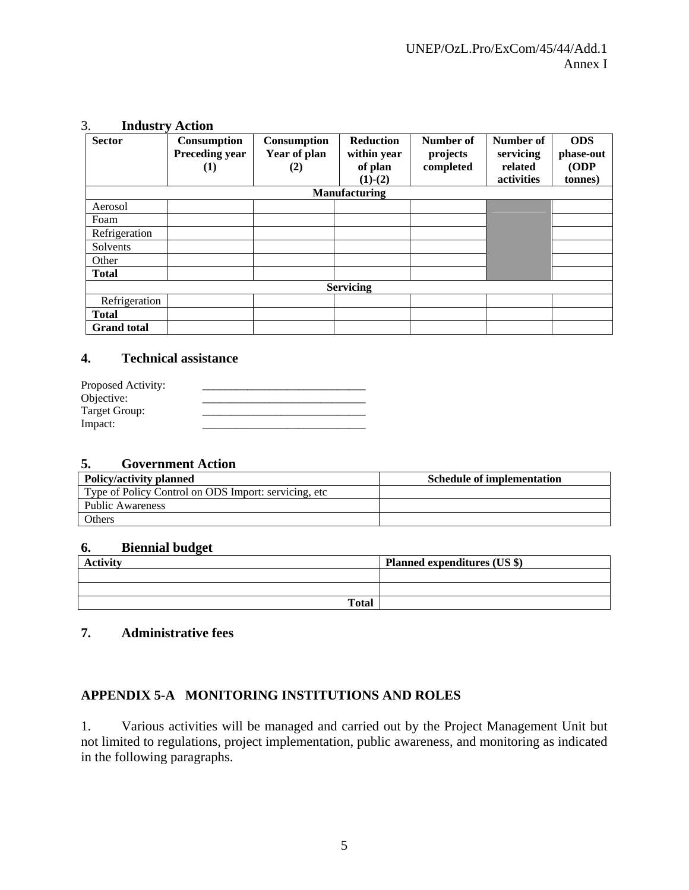| J.                 | піцизи у Асиоп                                   |                                           |                                                         |                                    |                                                 |                                            |
|--------------------|--------------------------------------------------|-------------------------------------------|---------------------------------------------------------|------------------------------------|-------------------------------------------------|--------------------------------------------|
| <b>Sector</b>      | Consumption<br><b>Preceding year</b><br>$\bf(1)$ | <b>Consumption</b><br>Year of plan<br>(2) | <b>Reduction</b><br>within year<br>of plan<br>$(1)-(2)$ | Number of<br>projects<br>completed | Number of<br>servicing<br>related<br>activities | <b>ODS</b><br>phase-out<br>(ODP<br>tonnes) |
|                    |                                                  |                                           | <b>Manufacturing</b>                                    |                                    |                                                 |                                            |
| Aerosol            |                                                  |                                           |                                                         |                                    |                                                 |                                            |
| Foam               |                                                  |                                           |                                                         |                                    |                                                 |                                            |
| Refrigeration      |                                                  |                                           |                                                         |                                    |                                                 |                                            |
| Solvents           |                                                  |                                           |                                                         |                                    |                                                 |                                            |
| Other              |                                                  |                                           |                                                         |                                    |                                                 |                                            |
| <b>Total</b>       |                                                  |                                           |                                                         |                                    |                                                 |                                            |
|                    |                                                  |                                           | <b>Servicing</b>                                        |                                    |                                                 |                                            |
| Refrigeration      |                                                  |                                           |                                                         |                                    |                                                 |                                            |
| <b>Total</b>       |                                                  |                                           |                                                         |                                    |                                                 |                                            |
| <b>Grand</b> total |                                                  |                                           |                                                         |                                    |                                                 |                                            |

#### 3. **Industry Action**

#### **4. Technical assistance**

| Proposed Activity: |  |
|--------------------|--|
| Objective:         |  |
| Target Group:      |  |
| Impact:            |  |

#### **5. Government Action**

| <b>Policy/activity planned</b>                        | <b>Schedule of implementation</b> |
|-------------------------------------------------------|-----------------------------------|
| Type of Policy Control on ODS Import: servicing, etc. |                                   |
| <b>Public Awareness</b>                               |                                   |
| Others                                                |                                   |

#### **6. Biennial budget**

| <b>Activity</b> | Planned expenditures (US \$) |
|-----------------|------------------------------|
|                 |                              |
|                 |                              |
| <b>Total</b>    |                              |

## **7. Administrative fees**

#### **APPENDIX 5-A MONITORING INSTITUTIONS AND ROLES**

1. Various activities will be managed and carried out by the Project Management Unit but not limited to regulations, project implementation, public awareness, and monitoring as indicated in the following paragraphs.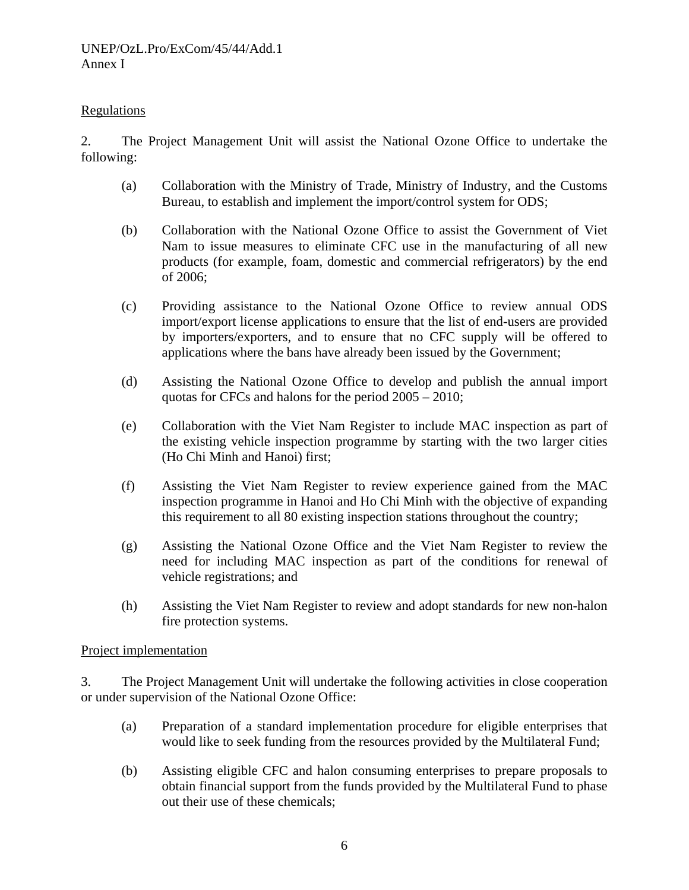#### Regulations

2. The Project Management Unit will assist the National Ozone Office to undertake the following:

- (a) Collaboration with the Ministry of Trade, Ministry of Industry, and the Customs Bureau, to establish and implement the import/control system for ODS;
- (b) Collaboration with the National Ozone Office to assist the Government of Viet Nam to issue measures to eliminate CFC use in the manufacturing of all new products (for example, foam, domestic and commercial refrigerators) by the end of 2006;
- (c) Providing assistance to the National Ozone Office to review annual ODS import/export license applications to ensure that the list of end-users are provided by importers/exporters, and to ensure that no CFC supply will be offered to applications where the bans have already been issued by the Government;
- (d) Assisting the National Ozone Office to develop and publish the annual import quotas for CFCs and halons for the period 2005 – 2010;
- (e) Collaboration with the Viet Nam Register to include MAC inspection as part of the existing vehicle inspection programme by starting with the two larger cities (Ho Chi Minh and Hanoi) first;
- (f) Assisting the Viet Nam Register to review experience gained from the MAC inspection programme in Hanoi and Ho Chi Minh with the objective of expanding this requirement to all 80 existing inspection stations throughout the country;
- (g) Assisting the National Ozone Office and the Viet Nam Register to review the need for including MAC inspection as part of the conditions for renewal of vehicle registrations; and
- (h) Assisting the Viet Nam Register to review and adopt standards for new non-halon fire protection systems.

#### Project implementation

3. The Project Management Unit will undertake the following activities in close cooperation or under supervision of the National Ozone Office:

- (a) Preparation of a standard implementation procedure for eligible enterprises that would like to seek funding from the resources provided by the Multilateral Fund;
- (b) Assisting eligible CFC and halon consuming enterprises to prepare proposals to obtain financial support from the funds provided by the Multilateral Fund to phase out their use of these chemicals;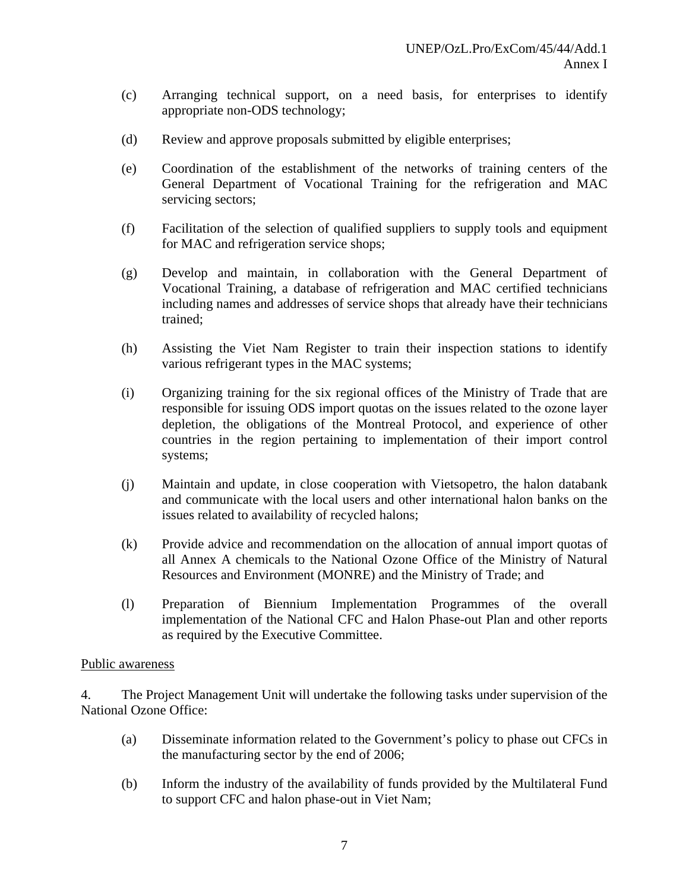- (c) Arranging technical support, on a need basis, for enterprises to identify appropriate non-ODS technology;
- (d) Review and approve proposals submitted by eligible enterprises;
- (e) Coordination of the establishment of the networks of training centers of the General Department of Vocational Training for the refrigeration and MAC servicing sectors;
- (f) Facilitation of the selection of qualified suppliers to supply tools and equipment for MAC and refrigeration service shops;
- (g) Develop and maintain, in collaboration with the General Department of Vocational Training, a database of refrigeration and MAC certified technicians including names and addresses of service shops that already have their technicians trained;
- (h) Assisting the Viet Nam Register to train their inspection stations to identify various refrigerant types in the MAC systems;
- (i) Organizing training for the six regional offices of the Ministry of Trade that are responsible for issuing ODS import quotas on the issues related to the ozone layer depletion, the obligations of the Montreal Protocol, and experience of other countries in the region pertaining to implementation of their import control systems;
- (j) Maintain and update, in close cooperation with Vietsopetro, the halon databank and communicate with the local users and other international halon banks on the issues related to availability of recycled halons;
- (k) Provide advice and recommendation on the allocation of annual import quotas of all Annex A chemicals to the National Ozone Office of the Ministry of Natural Resources and Environment (MONRE) and the Ministry of Trade; and
- (l) Preparation of Biennium Implementation Programmes of the overall implementation of the National CFC and Halon Phase-out Plan and other reports as required by the Executive Committee.

#### Public awareness

4. The Project Management Unit will undertake the following tasks under supervision of the National Ozone Office:

- (a) Disseminate information related to the Government's policy to phase out CFCs in the manufacturing sector by the end of 2006;
- (b) Inform the industry of the availability of funds provided by the Multilateral Fund to support CFC and halon phase-out in Viet Nam;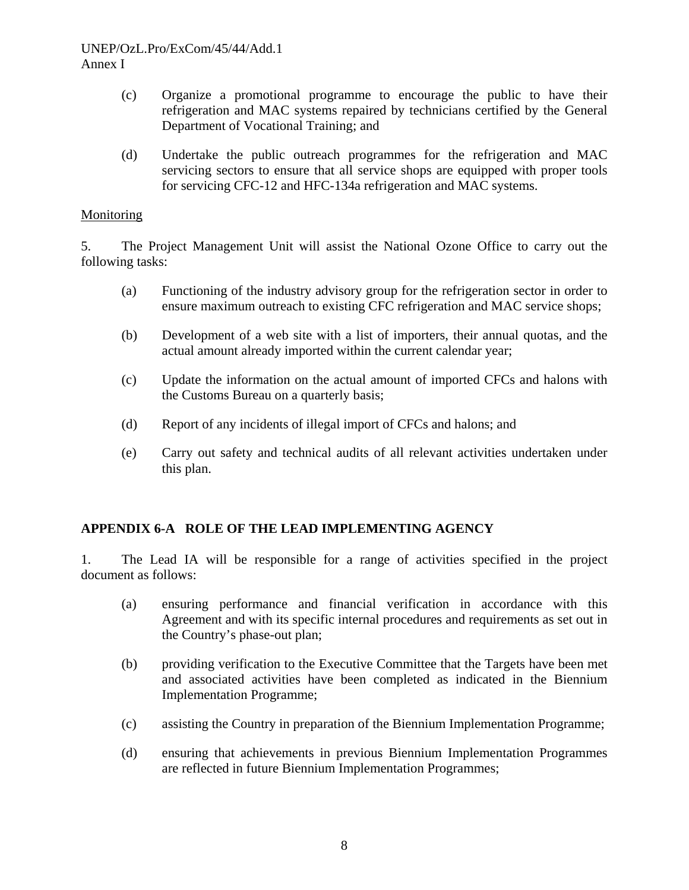#### UNEP/OzL.Pro/ExCom/45/44/Add.1 Annex I

- (c) Organize a promotional programme to encourage the public to have their refrigeration and MAC systems repaired by technicians certified by the General Department of Vocational Training; and
- (d) Undertake the public outreach programmes for the refrigeration and MAC servicing sectors to ensure that all service shops are equipped with proper tools for servicing CFC-12 and HFC-134a refrigeration and MAC systems.

#### Monitoring

5. The Project Management Unit will assist the National Ozone Office to carry out the following tasks:

- (a) Functioning of the industry advisory group for the refrigeration sector in order to ensure maximum outreach to existing CFC refrigeration and MAC service shops;
- (b) Development of a web site with a list of importers, their annual quotas, and the actual amount already imported within the current calendar year;
- (c) Update the information on the actual amount of imported CFCs and halons with the Customs Bureau on a quarterly basis;
- (d) Report of any incidents of illegal import of CFCs and halons; and
- (e) Carry out safety and technical audits of all relevant activities undertaken under this plan.

## **APPENDIX 6-A ROLE OF THE LEAD IMPLEMENTING AGENCY**

1. The Lead IA will be responsible for a range of activities specified in the project document as follows:

- (a) ensuring performance and financial verification in accordance with this Agreement and with its specific internal procedures and requirements as set out in the Country's phase-out plan;
- (b) providing verification to the Executive Committee that the Targets have been met and associated activities have been completed as indicated in the Biennium Implementation Programme;
- (c) assisting the Country in preparation of the Biennium Implementation Programme;
- (d) ensuring that achievements in previous Biennium Implementation Programmes are reflected in future Biennium Implementation Programmes;